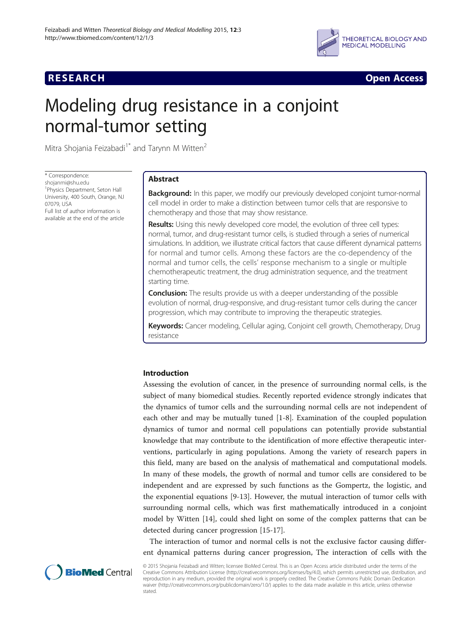



# Modeling drug resistance in a conjoint normal-tumor setting

Mitra Shojania Feizabadi<sup>1\*</sup> and Tarynn M Witten<sup>2</sup>

\* Correspondence: [shojanmi@shu.edu](mailto:shojanmi@shu.edu) <sup>1</sup> Physics Department, Seton Hall University, 400 South, Orange, NJ 07079, USA Full list of author information is available at the end of the article

# Abstract

**Background:** In this paper, we modify our previously developed conjoint tumor-normal cell model in order to make a distinction between tumor cells that are responsive to chemotherapy and those that may show resistance.

**Results:** Using this newly developed core model, the evolution of three cell types: normal, tumor, and drug-resistant tumor cells, is studied through a series of numerical simulations. In addition, we illustrate critical factors that cause different dynamical patterns for normal and tumor cells. Among these factors are the co-dependency of the normal and tumor cells, the cells' response mechanism to a single or multiple chemotherapeutic treatment, the drug administration sequence, and the treatment starting time.

**Conclusion:** The results provide us with a deeper understanding of the possible evolution of normal, drug-responsive, and drug-resistant tumor cells during the cancer progression, which may contribute to improving the therapeutic strategies.

Keywords: Cancer modeling, Cellular aging, Conjoint cell growth, Chemotherapy, Drug resistance

# Introduction

Assessing the evolution of cancer, in the presence of surrounding normal cells, is the subject of many biomedical studies. Recently reported evidence strongly indicates that the dynamics of tumor cells and the surrounding normal cells are not independent of each other and may be mutually tuned [[1-8](#page-9-0)]. Examination of the coupled population dynamics of tumor and normal cell populations can potentially provide substantial knowledge that may contribute to the identification of more effective therapeutic interventions, particularly in aging populations. Among the variety of research papers in this field, many are based on the analysis of mathematical and computational models. In many of these models, the growth of normal and tumor cells are considered to be independent and are expressed by such functions as the Gompertz, the logistic, and the exponential equations [\[9-13](#page-9-0)]. However, the mutual interaction of tumor cells with surrounding normal cells, which was first mathematically introduced in a conjoint model by Witten [[14](#page-9-0)], could shed light on some of the complex patterns that can be detected during cancer progression [\[15-17](#page-9-0)].

The interaction of tumor and normal cells is not the exclusive factor causing different dynamical patterns during cancer progression, The interaction of cells with the



© 2015 Shojania Feizabadi and Witten; licensee BioMed Central. This is an Open Access article distributed under the terms of the Creative Commons Attribution License (<http://creativecommons.org/licenses/by/4.0>), which permits unrestricted use, distribution, and reproduction in any medium, provided the original work is properly credited. The Creative Commons Public Domain Dedication waiver [\(http://creativecommons.org/publicdomain/zero/1.0/\)](http://creativecommons.org/publicdomain/zero/1.0/) applies to the data made available in this article, unless otherwise stated.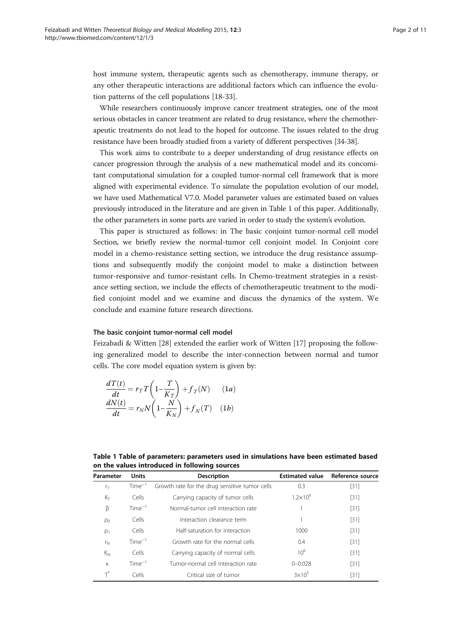host immune system, therapeutic agents such as chemotherapy, immune therapy, or any other therapeutic interactions are additional factors which can influence the evolution patterns of the cell populations [[18](#page-9-0)[-33\]](#page-10-0).

While researchers continuously improve cancer treatment strategies, one of the most serious obstacles in cancer treatment are related to drug resistance, where the chemotherapeutic treatments do not lead to the hoped for outcome. The issues related to the drug resistance have been broadly studied from a variety of different perspectives [\[34-38\]](#page-10-0).

This work aims to contribute to a deeper understanding of drug resistance effects on cancer progression through the analysis of a new mathematical model and its concomitant computational simulation for a coupled tumor-normal cell framework that is more aligned with experimental evidence. To simulate the population evolution of our model, we have used Mathematical V7.0. Model parameter values are estimated based on values previously introduced in the literature and are given in Table 1 of this paper. Additionally, the other parameters in some parts are varied in order to study the system's evolution.

This paper is structured as follows: in The basic conjoint tumor-normal cell model Section, we briefly review the normal-tumor cell conjoint model. In [Conjoint core](#page-2-0) [model in a chemo-resistance setting](#page-2-0) section, we introduce the drug resistance assumptions and subsequently modify the conjoint model to make a distinction between tumor-responsive and tumor-resistant cells. In [Chemo-treatment strategies in a resist](#page-4-0)[ance setting](#page-4-0) section, we include the effects of chemotherapeutic treatment to the modified conjoint model and we examine and discuss the dynamics of the system. We conclude and examine future research directions.

## The basic conjoint tumor-normal cell model

Feizabadi & Witten [[28\]](#page-9-0) extended the earlier work of Witten [\[17](#page-9-0)] proposing the following generalized model to describe the inter-connection between normal and tumor cells. The core model equation system is given by:

$$
\frac{dT(t)}{dt} = r_T T \left( 1 - \frac{T}{K_T} \right) + f_T(N) \qquad (1a)
$$

$$
\frac{dN(t)}{dt} = r_N N \left( 1 - \frac{N}{K_N} \right) + f_N(T) \quad (1b)
$$

Table 1 Table of parameters: parameters used in simulations have been estimated based on the values introduced in following sources

| Parameter   | <b>Units</b> | <b>Description</b>                             | <b>Estimated value</b> | Reference source |
|-------------|--------------|------------------------------------------------|------------------------|------------------|
| ľт          | $Time^{-1}$  | Growth rate for the drug sensitive tumor cells | 0.3                    | $[31]$           |
| $K_T$       | Cells        | Carrying capacity of tumor cells               | $1.2 \times 10^{6}$    | $[31]$           |
| β           | $Time-1$     | Normal-tumor cell interaction rate             |                        | $[31]$           |
| $\rho_0$    | Cells        | Interaction clearance term                     |                        | $[31]$           |
| $\rho_1$    | Cells        | Half-saturation for interaction                | 1000                   | $[31]$           |
| $r_{\rm N}$ | $Time-1$     | Growth rate for the normal cells               | 0.4                    | $[31]$           |
| $K_{\rm N}$ | Cells        | Carrying capacity of normal cells              | $10^{6}$               | $[31]$           |
| K           | $Time-1$     | Tumor-normal cell interaction rate             | $0 - 0.028$            | $[31]$           |
|             | Cells        | Critical size of tumor                         | $3\times10^{5}$        | [31]             |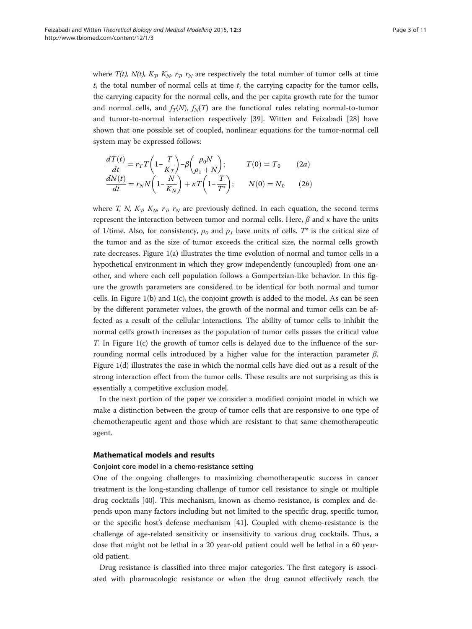<span id="page-2-0"></span>where  $T(t)$ ,  $N(t)$ ,  $K_T$ ,  $K_N$ ,  $r_T$ ,  $r_N$  are respectively the total number of tumor cells at time  $t$ , the total number of normal cells at time  $t$ , the carrying capacity for the tumor cells, the carrying capacity for the normal cells, and the per capita growth rate for the tumor and normal cells, and  $f_T(N)$ ,  $f_N(T)$  are the functional rules relating normal-to-tumor and tumor-to-normal interaction respectively [\[39\]](#page-10-0). Witten and Feizabadi [[28\]](#page-9-0) have shown that one possible set of coupled, nonlinear equations for the tumor-normal cell system may be expressed follows:

$$
\frac{dT(t)}{dt} = r_T T \left( 1 - \frac{T}{K_T} \right) - \beta \left( \frac{\rho_0 N}{\rho_1 + N} \right); \qquad T(0) = T_0 \qquad (2a)
$$

$$
\frac{dN(t)}{dt} = r_N N \left( 1 - \frac{N}{K_N} \right) + \kappa T \left( 1 - \frac{T}{T^*} \right); \qquad N(0) = N_0 \qquad (2b)
$$

where T, N,  $K_T$ ,  $K_N$ ,  $r_T$ ,  $r_N$  are previously defined. In each equation, the second terms represent the interaction between tumor and normal cells. Here,  $\beta$  and  $\kappa$  have the units of 1/time. Also, for consistency,  $\rho_0$  and  $\rho_1$  have units of cells. T\* is the critical size of the tumor and as the size of tumor exceeds the critical size, the normal cells growth rate decreases. Figure [1\(](#page-3-0)a) illustrates the time evolution of normal and tumor cells in a hypothetical environment in which they grow independently (uncoupled) from one another, and where each cell population follows a Gompertzian-like behavior. In this figure the growth parameters are considered to be identical for both normal and tumor cells. In Figure [1](#page-3-0)(b) and [1\(](#page-3-0)c), the conjoint growth is added to the model. As can be seen by the different parameter values, the growth of the normal and tumor cells can be affected as a result of the cellular interactions. The ability of tumor cells to inhibit the normal cell's growth increases as the population of tumor cells passes the critical value T. In Figure [1](#page-3-0)(c) the growth of tumor cells is delayed due to the influence of the surrounding normal cells introduced by a higher value for the interaction parameter β. Figure [1](#page-3-0)(d) illustrates the case in which the normal cells have died out as a result of the strong interaction effect from the tumor cells. These results are not surprising as this is essentially a competitive exclusion model.

In the next portion of the paper we consider a modified conjoint model in which we make a distinction between the group of tumor cells that are responsive to one type of chemotherapeutic agent and those which are resistant to that same chemotherapeutic agent.

# Mathematical models and results

#### Conjoint core model in a chemo-resistance setting

One of the ongoing challenges to maximizing chemotherapeutic success in cancer treatment is the long-standing challenge of tumor cell resistance to single or multiple drug cocktails [[40](#page-10-0)]. This mechanism, known as chemo-resistance, is complex and depends upon many factors including but not limited to the specific drug, specific tumor, or the specific host's defense mechanism [\[41](#page-10-0)]. Coupled with chemo-resistance is the challenge of age-related sensitivity or insensitivity to various drug cocktails. Thus, a dose that might not be lethal in a 20 year-old patient could well be lethal in a 60 yearold patient.

Drug resistance is classified into three major categories. The first category is associated with pharmacologic resistance or when the drug cannot effectively reach the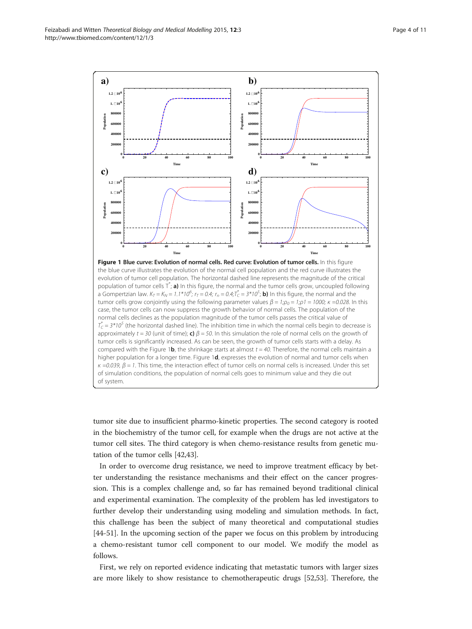<span id="page-3-0"></span>Feizabadi and Witten Theoretical Biology and Medical Modelling 2015, 12:3 http://www.tbiomed.com/content/12/1/3



tumor site due to insufficient pharmo-kinetic properties. The second category is rooted in the biochemistry of the tumor cell, for example when the drugs are not active at the tumor cell sites. The third category is when chemo-resistance results from genetic mutation of the tumor cells [\[42,43](#page-10-0)].

In order to overcome drug resistance, we need to improve treatment efficacy by better understanding the resistance mechanisms and their effect on the cancer progression. This is a complex challenge and, so far has remained beyond traditional clinical and experimental examination. The complexity of the problem has led investigators to further develop their understanding using modeling and simulation methods. In fact, this challenge has been the subject of many theoretical and computational studies [[44-51\]](#page-10-0). In the upcoming section of the paper we focus on this problem by introducing a chemo-resistant tumor cell component to our model. We modify the model as follows.

First, we rely on reported evidence indicating that metastatic tumors with larger sizes are more likely to show resistance to chemotherapeutic drugs [[52,53\]](#page-10-0). Therefore, the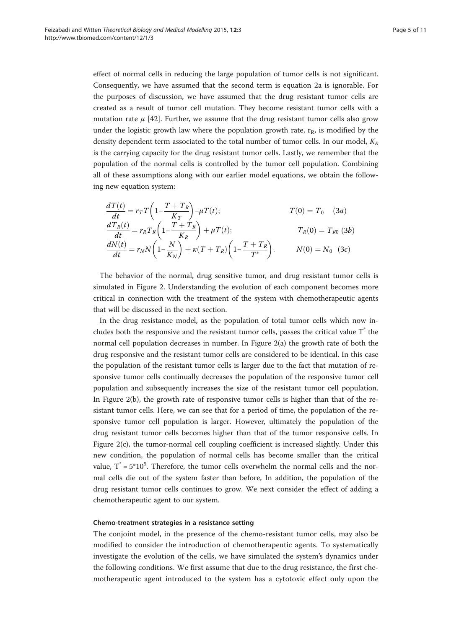<span id="page-4-0"></span>effect of normal cells in reducing the large population of tumor cells is not significant. Consequently, we have assumed that the second term is equation 2a is ignorable. For the purposes of discussion, we have assumed that the drug resistant tumor cells are created as a result of tumor cell mutation. They become resistant tumor cells with a mutation rate  $\mu$  [\[42](#page-10-0)]. Further, we assume that the drug resistant tumor cells also grow under the logistic growth law where the population growth rate,  $r_R$ , is modified by the density dependent term associated to the total number of tumor cells. In our model,  $K_R$ is the carrying capacity for the drug resistant tumor cells. Lastly, we remember that the population of the normal cells is controlled by the tumor cell population. Combining all of these assumptions along with our earlier model equations, we obtain the following new equation system:

$$
\frac{dT(t)}{dt} = r_T T \left( 1 - \frac{T + T_R}{K_T} \right) - \mu T(t); \qquad T(0) = T_0 \quad (3a)
$$
\n
$$
\frac{dT_R(t)}{dt} = r_R T_R \left( 1 - \frac{T + T_R}{K_R} \right) + \mu T(t); \qquad T_R(0) = T_{R0} \quad (3b)
$$
\n
$$
\frac{dN(t)}{dt} = r_N N \left( 1 - \frac{N}{K_N} \right) + \kappa (T + T_R) \left( 1 - \frac{T + T_R}{T^*} \right). \qquad N(0) = N_0 \quad (3c)
$$

The behavior of the normal, drug sensitive tumor, and drug resistant tumor cells is simulated in Figure [2](#page-5-0). Understanding the evolution of each component becomes more critical in connection with the treatment of the system with chemotherapeutic agents that will be discussed in the next section.

In the drug resistance model, as the population of total tumor cells which now includes both the responsive and the resistant tumor cells, passes the critical value  $T^*$  the normal cell population decreases in number. In Figure [2\(](#page-5-0)a) the growth rate of both the drug responsive and the resistant tumor cells are considered to be identical. In this case the population of the resistant tumor cells is larger due to the fact that mutation of responsive tumor cells continually decreases the population of the responsive tumor cell population and subsequently increases the size of the resistant tumor cell population. In Figure [2](#page-5-0)(b), the growth rate of responsive tumor cells is higher than that of the resistant tumor cells. Here, we can see that for a period of time, the population of the responsive tumor cell population is larger. However, ultimately the population of the drug resistant tumor cells becomes higher than that of the tumor responsive cells. In Figure [2\(](#page-5-0)c), the tumor-normal cell coupling coefficient is increased slightly. Under this new condition, the population of normal cells has become smaller than the critical value,  $T^* = 5^*10^5$ . Therefore, the tumor cells overwhelm the normal cells and the normal cells die out of the system faster than before, In addition, the population of the drug resistant tumor cells continues to grow. We next consider the effect of adding a chemotherapeutic agent to our system.

# Chemo-treatment strategies in a resistance setting

The conjoint model, in the presence of the chemo-resistant tumor cells, may also be modified to consider the introduction of chemotherapeutic agents. To systematically investigate the evolution of the cells, we have simulated the system's dynamics under the following conditions. We first assume that due to the drug resistance, the first chemotherapeutic agent introduced to the system has a cytotoxic effect only upon the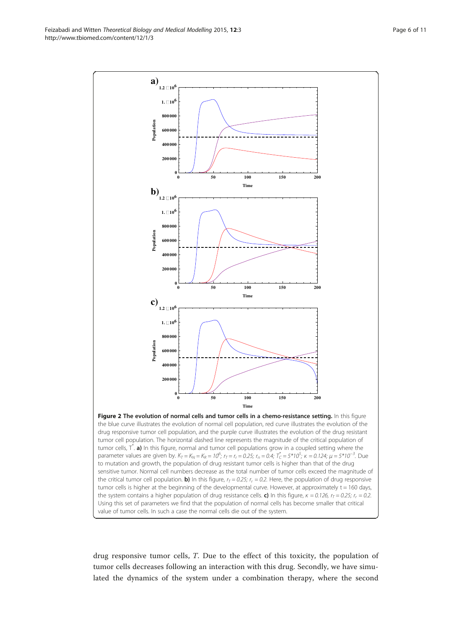$1.2 \Box 10$ 

**b**)<sub>1.2</sub>  $\Box 10^6$ 

**Population**

Population

**200000 400000 600000 800000 1.**  $□$ **10**<sup> $~~6~~$ </del>  $1.2 \square 10$ 



**1 1 110 150 200 150 200** 

**Time**

drug responsive tumor cells, T. Due to the effect of this toxicity, the population of tumor cells decreases following an interaction with this drug. Secondly, we have simulated the dynamics of the system under a combination therapy, where the second

value of tumor cells. In such a case the normal cells die out of the system.

<span id="page-5-0"></span>Feizabadi and Witten Theoretical Biology and Medical Modelling 2015, 12:3 Page 6 of 11 http://www.tbiomed.com/content/12/1/3

**a)** 

**Population**

Population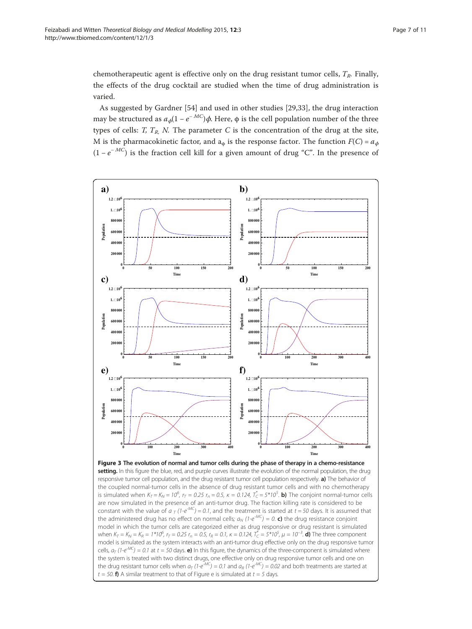<span id="page-6-0"></span>chemotherapeutic agent is effective only on the drug resistant tumor cells,  $T_R$ . Finally, the effects of the drug cocktail are studied when the time of drug administration is varied.

As suggested by Gardner [\[54](#page-10-0)] and used in other studies [[29,33\]](#page-10-0), the drug interaction may be structured as  $a_{\phi}(1-e^{-MC})\phi$ . Here,  $\phi$  is the cell population number of the three types of cells: T,  $T_R$ , N. The parameter C is the concentration of the drug at the site, M is the pharmacokinetic factor, and  $a_{\varphi}$  is the response factor. The function  $F(C) = a_{\varphi}$  $(1 - e^{-MC})$  is the fraction cell kill for a given amount of drug "C". In the presence of



setting. In this figure the blue, red, and purple curves illustrate the evolution of the normal population, the drug responsive tumor cell population, and the drug resistant tumor cell population respectively. a) The behavior of the coupled normal-tumor cells in the absence of drug resistant tumor cells and with no chemotherapy is simulated when  $K_T = K_N = 10^6$ ,  $r_T = 0.25$   $r_n = 0.5$ ,  $\kappa = 0.124$ ,  $T_C^* = 5*10^5$ . **b)** The conjoint normal-tumor cells are now simulated in the presence of an anti-tumor drug. The fraction killing rate is considered to be constant with the value of  $a_T (1-e^{tMC}) = 0.1$ , and the treatment is started at  $t = 50$  days. It is assumed that the administered drug has no effect on normal cells;  $a_N$  (1- $e^{tMC}$ ) = 0. c) the drug resistance conjoint model in which the tumor cells are categorized either as drug responsive or drug resistant is simulated when  $K_T = K_N = K_R = 1*10^6$ ,  $r_T = 0.25$   $r_n = 0.5$ ,  $r_R = 0.1$ ,  $\kappa = 0.124$ ,  $T_C^* = 5*10^5$ ,  $\mu = 10^{-3}$ . **d)** The three component model is simulated as the system interacts with an anti-tumor drug effective only on the drug responsive tumor cells,  $a_T$  (1-e<sup>-MC</sup>) = 0.1 at t = 50 days. **e)** In this figure, the dynamics of the three-component is simulated where the system is treated with two distinct drugs, one effective only on drug responsive tumor cells and one on the drug resistant tumor cells when  $a_T$  (1-e<sup>-MC</sup>) = 0.1 and  $a_R$  (1-e<sup>-MC</sup>) = 0.02 and both treatments are started at  $t = 50$ . **f)** A similar treatment to that of Figure e is simulated at  $t = 5$  days.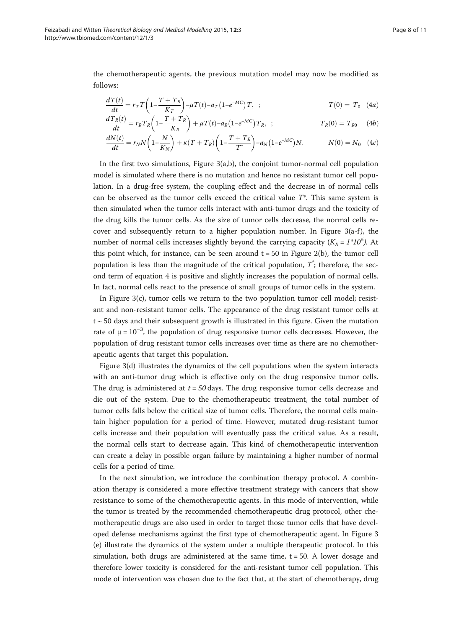the chemotherapeutic agents, the previous mutation model may now be modified as follows:

$$
\frac{dT(t)}{dt} = r_T T \left( 1 - \frac{T + T_R}{K_T} \right) - \mu T(t) - a_T (1 - e^{-MC}) T, \quad ; \quad T(0) = T_0 \quad (4a)
$$

$$
\frac{dT_R(t)}{dt} = r_R T_R \left( 1 - \frac{T + T_R}{K_R} \right) + \mu T(t) - a_R \left( 1 - e^{-MC} \right) T_R, \quad ; \qquad T_R(0) = T_{R0} \quad (4b)
$$

$$
\frac{dN(t)}{dt} = r_N N \left( 1 - \frac{N}{K_N} \right) + \kappa (T + T_R) \left( 1 - \frac{T + T_R}{T^*} \right) - a_N (1 - e^{-MC}) N. \qquad N(0) = N_0 \quad (4c)
$$

In the first two simulations, Figure  $3(a,b)$ , the conjoint tumor-normal cell population model is simulated where there is no mutation and hence no resistant tumor cell population. In a drug-free system, the coupling effect and the decrease in of normal cells can be observed as the tumor cells exceed the critical value  $T^*$ . This same system is then simulated when the tumor cells interact with anti-tumor drugs and the toxicity of the drug kills the tumor cells. As the size of tumor cells decrease, the normal cells re-cover and subsequently return to a higher population number. In Figure [3\(](#page-6-0)a-f), the number of normal cells increases slightly beyond the carrying capacity ( $K_R = I^*10^6$ ). At this point which, for instance, can be seen around  $t = 50$  in Figure [2](#page-5-0)(b), the tumor cell population is less than the magnitude of the critical population,  $T^*$ ; therefore, the second term of equation 4 is positive and slightly increases the population of normal cells. In fact, normal cells react to the presence of small groups of tumor cells in the system.

In Figure [3\(](#page-6-0)c), tumor cells we return to the two population tumor cell model; resistant and non-resistant tumor cells. The appearance of the drug resistant tumor cells at  $t \sim 50$  days and their subsequent growth is illustrated in this figure. Given the mutation rate of  $\mu = 10^{-3}$ , the population of drug responsive tumor cells decreases. However, the population of drug resistant tumor cells increases over time as there are no chemotherapeutic agents that target this population.

Figure [3\(](#page-6-0)d) illustrates the dynamics of the cell populations when the system interacts with an anti-tumor drug which is effective only on the drug responsive tumor cells. The drug is administered at  $t = 50$  days. The drug responsive tumor cells decrease and die out of the system. Due to the chemotherapeutic treatment, the total number of tumor cells falls below the critical size of tumor cells. Therefore, the normal cells maintain higher population for a period of time. However, mutated drug-resistant tumor cells increase and their population will eventually pass the critical value. As a result, the normal cells start to decrease again. This kind of chemotherapeutic intervention can create a delay in possible organ failure by maintaining a higher number of normal cells for a period of time.

In the next simulation, we introduce the combination therapy protocol. A combination therapy is considered a more effective treatment strategy with cancers that show resistance to some of the chemotherapeutic agents. In this mode of intervention, while the tumor is treated by the recommended chemotherapeutic drug protocol, other chemotherapeutic drugs are also used in order to target those tumor cells that have developed defense mechanisms against the first type of chemotherapeutic agent. In Figure [3](#page-6-0) (e) illustrate the dynamics of the system under a multiple therapeutic protocol. In this simulation, both drugs are administered at the same time,  $t = 50$ . A lower dosage and therefore lower toxicity is considered for the anti-resistant tumor cell population. This mode of intervention was chosen due to the fact that, at the start of chemotherapy, drug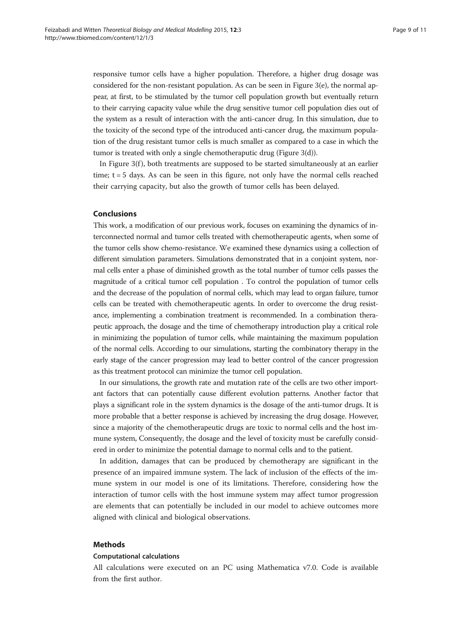responsive tumor cells have a higher population. Therefore, a higher drug dosage was considered for the non-resistant population. As can be seen in Figure [3](#page-6-0)(e), the normal appear, at first, to be stimulated by the tumor cell population growth but eventually return to their carrying capacity value while the drug sensitive tumor cell population dies out of the system as a result of interaction with the anti-cancer drug. In this simulation, due to the toxicity of the second type of the introduced anti-cancer drug, the maximum population of the drug resistant tumor cells is much smaller as compared to a case in which the tumor is treated with only a single chemotheraputic drug (Figure [3](#page-6-0)(d)).

In Figure  $3(f)$ , both treatments are supposed to be started simultaneously at an earlier time;  $t = 5$  days. As can be seen in this figure, not only have the normal cells reached their carrying capacity, but also the growth of tumor cells has been delayed.

# Conclusions

This work, a modification of our previous work, focuses on examining the dynamics of interconnected normal and tumor cells treated with chemotherapeutic agents, when some of the tumor cells show chemo-resistance. We examined these dynamics using a collection of different simulation parameters. Simulations demonstrated that in a conjoint system, normal cells enter a phase of diminished growth as the total number of tumor cells passes the magnitude of a critical tumor cell population . To control the population of tumor cells and the decrease of the population of normal cells, which may lead to organ failure, tumor cells can be treated with chemotherapeutic agents. In order to overcome the drug resistance, implementing a combination treatment is recommended. In a combination therapeutic approach, the dosage and the time of chemotherapy introduction play a critical role in minimizing the population of tumor cells, while maintaining the maximum population of the normal cells. According to our simulations, starting the combinatory therapy in the early stage of the cancer progression may lead to better control of the cancer progression as this treatment protocol can minimize the tumor cell population.

In our simulations, the growth rate and mutation rate of the cells are two other important factors that can potentially cause different evolution patterns. Another factor that plays a significant role in the system dynamics is the dosage of the anti-tumor drugs. It is more probable that a better response is achieved by increasing the drug dosage. However, since a majority of the chemotherapeutic drugs are toxic to normal cells and the host immune system, Consequently, the dosage and the level of toxicity must be carefully considered in order to minimize the potential damage to normal cells and to the patient.

In addition, damages that can be produced by chemotherapy are significant in the presence of an impaired immune system. The lack of inclusion of the effects of the immune system in our model is one of its limitations. Therefore, considering how the interaction of tumor cells with the host immune system may affect tumor progression are elements that can potentially be included in our model to achieve outcomes more aligned with clinical and biological observations.

### Methods

# Computational calculations

All calculations were executed on an PC using Mathematica v7.0. Code is available from the first author.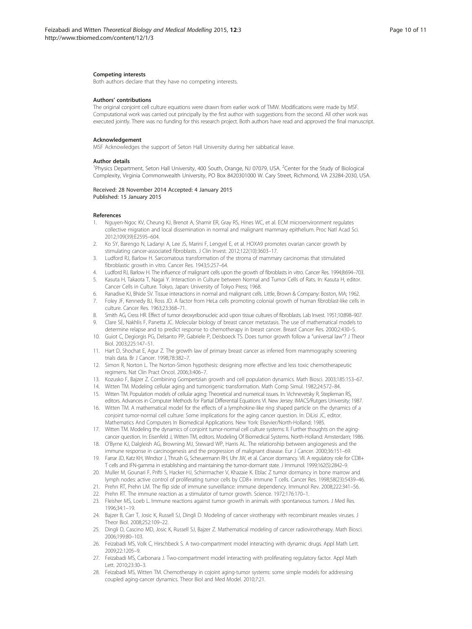#### <span id="page-9-0"></span>Competing interests

Both authors declare that they have no competing interests.

#### Authors' contributions

The original conjoint cell culture equations were drawn from earlier work of TMW. Modifications were made by MSF. Computational work was carried out principally by the first author with suggestions from the second. All other work was executed jointly. There was no funding for this research project. Both authors have read and approved the final manuscript.

#### Acknowledgement

MSF Acknowledges the support of Seton Hall University during her sabbatical leave.

#### Author details

<sup>1</sup>Physics Department, Seton Hall University, 400 South, Orange, NJ 07079, USA. <sup>2</sup>Center for the Study of Biological Complexity, Virginia Commonwealth University, PO Box 8420301000 W. Cary Street, Richmond, VA 23284-2030, USA.

#### Received: 28 November 2014 Accepted: 4 January 2015 Published: 15 January 2015

#### References

- 1. Nguyen-Ngoc KV, Cheung KJ, Brenot A, Shamir ER, Gray RS, Hines WC, et al. ECM microenvironment regulates collective migration and local dissemination in normal and malignant mammary epithelium. Proc Natl Acad Sci. 2012;109(39):E2595–604.
- 2. Ko SY, Barengo N, Ladanyi A, Lee JS, Marini F, Lengyel E, et al. HOXA9 promotes ovarian cancer growth by stimulating cancer-associated fibroblasts. J Clin Invest. 2012;122(10):3603–17.
- Ludford RJ, Barlow H. Sarcomatous transformation of the stroma of mammary carcinomas that stimulated fibroblastic growth in vitro. Cancer Res. 1943;5:257–64.
- Ludford RJ, Barlow H. The influence of malignant cells upon the growth of fibroblasts in vitro. Cancer Res. 1994;8:694-703. 5. Kasuta H, Takaota T, Nagai Y. Interaction in Culture between Normal and Tumor Cells of Rats. In: Kasuta H, editor.
- Cancer Cells in Culture. Tokyo, Japan: University of Tokyo Press; 1968.
- 6. Ranadive KJ, Bhide SV. Tissue interactions in normal and malignant cells. Little, Brown & Company: Boston, MA; 1962.
- 7. Foley JF, Kennedy BJ, Ross JD. A factor from HeLa cells promoting colonial growth of human fibroblast-like cells in culture. Cancer Res. 1963;23:368–71.
- 8. Smith AG, Cress HR. Effect of tumor deoxyribonucleic acid upon tissue cultures of fibroblasts. Lab Invest. 1951;10:898–907. 9. Clare SE, Nakhlis F, Panetta JC. Molecular biology of breast cancer metastasis. The use of mathematical models to
- determine relapse and to predict response to chemotherapy in breast cancer. Breast Cancer Res. 2000;2:430–5.
- 10. Guiot C, Degiorgis PG, Delsanto PP, Gabriele P, Deisboeck TS. Does tumor growth follow a "universal law"? J Theor Biol. 2003;225:147–51.
- 11. Hart D, Shochat E, Agur Z. The growth law of primary breast cancer as inferred from mammography screening trials data. Br J Cancer. 1998;78:382–7.
- 12. Simon R, Norton L. The Norton-Simon hypothesis: designing more effective and less toxic chemotherapeutic regimens. Nat Clin Pract Oncol. 2006;3:406–7.
- 13. Kozusko F, Bajzer Z. Combining Gompertzian growth and cell population dynamics. Math Biosci. 2003;185:153–67.
- 14. Witten TM. Modeling cellular aging and tumorigenic transformation. Math Comp Simul. 1982;24:572–84.
- 15. Witten TM. Population models of cellular aging: Theoretical and numerical issues. In: Vichnevetsky R, Stepleman RS, editors. Advances in Computer Methods for Partial Differential Equations VI. New Jersey: IMACS/Rutgers University; 1987.
- 16. Witten TM. A mathematical model for the effects of a lymphokine-like ring shaped particle on the dynamics of a conjoint tumor-normal cell culture: Some implications for the aging cancer question. In: DiLisi JC, editor. Mathematics And Computers In Biomedical Applications. New York: Elsevier/North-Holland; 1985.
- 17. Witten TM. Modeling the dynamics of conjoint tumor-normal cell culture systems: II. Further thoughts on the agingcancer question. In: Eisenfeld J, Witten TM, editors. Modeling Of Biomedical Systems. North-Holland: Amsterdam; 1986.
- 18. O'Byrne KJ, Dalgleish AG, Browning MJ, Steward WP, Harris AL. The relationship between angiogenesis and the immune response in carcinogenesis and the progression of malignant disease. Eur J Cancer. 2000;36:151–69.
- 19. Farrar JD, Katz KH, Windsor J, Thrush G, Scheuermann RH, Uhr JW, et al. Cancer dormancy. VII. A regulatory role for CD8+ T cells and IFN-gamma in establishing and maintaining the tumor-dormant state. J Immunol. 1999;162(5):2842–9.
- 20. Muller M, Gounari F, Prifti S, Hacker HJ, Schirrmacher V, Khazaie K. Eblac Z tumor dormancy in bone marrow and lymph nodes: active control of proliferating tumor cells by CD8+ immune T cells. Cancer Res. 1998;58(23):5439–46.
- 21. Prehn RT, Prehn LM. The flip side of immune surveillance: immune dependency. Immunol Rev. 2008;222:341–56.
- 22. Prehn RT. The immune reaction as a stimulator of tumor growth. Science. 1972;176:170–1.
- 23. Fleisher MS, Loeb L. Immune reactions against tumor growth in animals with spontaneous tumors. J Med Res. 1996;34:1–19.
- 24. Bajzer B, Carr T, Josic K, Russell SJ, Dingli D. Modeling of cancer virotherapy with recombinant measles viruses. J Theor Biol. 2008;252:109–22.
- 25. Dingli D, Cascino MD, Josic K, Russell SJ, Bajzer Z. Mathematical modeling of cancer radiovirotherapy. Math Biosci. 2006;199:80–103.
- 26. Feizabadi MS, Volk C, Hirschbeck S. A two-compartment model interacting with dynamic drugs. Appl Math Lett. 2009;22:1205–9.
- 27. Feizabadi MS, Carbonara J. Two-compartment model interacting with proliferating regulatory factor. Appl Math Lett. 2010;23:30–3.
- 28. Feizabadi MS, Witten TM. Chemotherapy in cojoint aging-tumor systems: some simple models for addressing coupled aging-cancer dynamics. Theor Biol and Med Model. 2010;7:21.